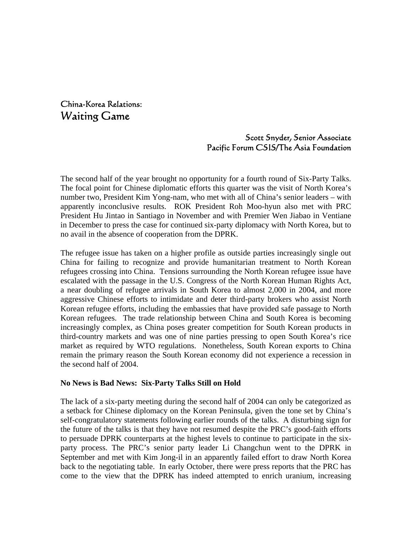China-Korea Relations: Waiting Game

# Scott Snyder, Senior Associate Pacific Forum CSIS/The Asia Foundation

The second half of the year brought no opportunity for a fourth round of Six-Party Talks. The focal point for Chinese diplomatic efforts this quarter was the visit of North Korea's number two, President Kim Yong-nam, who met with all of China's senior leaders – with apparently inconclusive results. ROK President Roh Moo-hyun also met with PRC President Hu Jintao in Santiago in November and with Premier Wen Jiabao in Ventiane in December to press the case for continued six-party diplomacy with North Korea, but to no avail in the absence of cooperation from the DPRK.

The refugee issue has taken on a higher profile as outside parties increasingly single out China for failing to recognize and provide humanitarian treatment to North Korean refugees crossing into China. Tensions surrounding the North Korean refugee issue have escalated with the passage in the U.S. Congress of the North Korean Human Rights Act, a near doubling of refugee arrivals in South Korea to almost 2,000 in 2004, and more aggressive Chinese efforts to intimidate and deter third-party brokers who assist North Korean refugee efforts, including the embassies that have provided safe passage to North Korean refugees. The trade relationship between China and South Korea is becoming increasingly complex, as China poses greater competition for South Korean products in third-country markets and was one of nine parties pressing to open South Korea's rice market as required by WTO regulations. Nonetheless, South Korean exports to China remain the primary reason the South Korean economy did not experience a recession in the second half of 2004.

#### **No News is Bad News: Six-Party Talks Still on Hold**

The lack of a six-party meeting during the second half of 2004 can only be categorized as a setback for Chinese diplomacy on the Korean Peninsula, given the tone set by China's self-congratulatory statements following earlier rounds of the talks. A disturbing sign for the future of the talks is that they have not resumed despite the PRC's good-faith efforts to persuade DPRK counterparts at the highest levels to continue to participate in the sixparty process. The PRC's senior party leader Li Changchun went to the DPRK in September and met with Kim Jong-il in an apparently failed effort to draw North Korea back to the negotiating table. In early October, there were press reports that the PRC has come to the view that the DPRK has indeed attempted to enrich uranium, increasing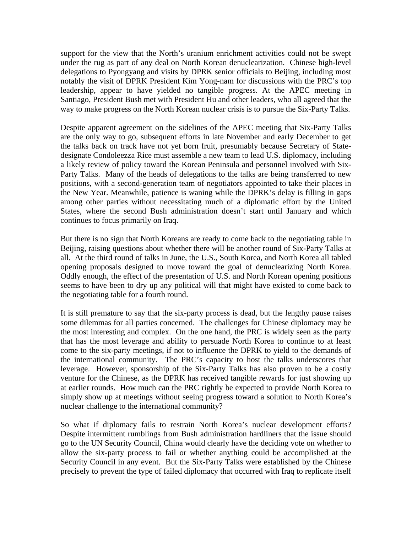support for the view that the North's uranium enrichment activities could not be swept under the rug as part of any deal on North Korean denuclearization. Chinese high-level delegations to Pyongyang and visits by DPRK senior officials to Beijing, including most notably the visit of DPRK President Kim Yong-nam for discussions with the PRC's top leadership, appear to have yielded no tangible progress. At the APEC meeting in Santiago, President Bush met with President Hu and other leaders, who all agreed that the way to make progress on the North Korean nuclear crisis is to pursue the Six-Party Talks.

Despite apparent agreement on the sidelines of the APEC meeting that Six-Party Talks are the only way to go, subsequent efforts in late November and early December to get the talks back on track have not yet born fruit, presumably because Secretary of Statedesignate Condoleezza Rice must assemble a new team to lead U.S. diplomacy, including a likely review of policy toward the Korean Peninsula and personnel involved with Six-Party Talks. Many of the heads of delegations to the talks are being transferred to new positions, with a second-generation team of negotiators appointed to take their places in the New Year. Meanwhile, patience is waning while the DPRK's delay is filling in gaps among other parties without necessitating much of a diplomatic effort by the United States, where the second Bush administration doesn't start until January and which continues to focus primarily on Iraq.

But there is no sign that North Koreans are ready to come back to the negotiating table in Beijing, raising questions about whether there will be another round of Six-Party Talks at all. At the third round of talks in June, the U.S., South Korea, and North Korea all tabled opening proposals designed to move toward the goal of denuclearizing North Korea. Oddly enough, the effect of the presentation of U.S. and North Korean opening positions seems to have been to dry up any political will that might have existed to come back to the negotiating table for a fourth round.

It is still premature to say that the six-party process is dead, but the lengthy pause raises some dilemmas for all parties concerned. The challenges for Chinese diplomacy may be the most interesting and complex. On the one hand, the PRC is widely seen as the party that has the most leverage and ability to persuade North Korea to continue to at least come to the six-party meetings, if not to influence the DPRK to yield to the demands of the international community. The PRC's capacity to host the talks underscores that leverage. However, sponsorship of the Six-Party Talks has also proven to be a costly venture for the Chinese, as the DPRK has received tangible rewards for just showing up at earlier rounds. How much can the PRC rightly be expected to provide North Korea to simply show up at meetings without seeing progress toward a solution to North Korea's nuclear challenge to the international community?

So what if diplomacy fails to restrain North Korea's nuclear development efforts? Despite intermittent rumblings from Bush administration hardliners that the issue should go to the UN Security Council, China would clearly have the deciding vote on whether to allow the six-party process to fail or whether anything could be accomplished at the Security Council in any event. But the Six-Party Talks were established by the Chinese precisely to prevent the type of failed diplomacy that occurred with Iraq to replicate itself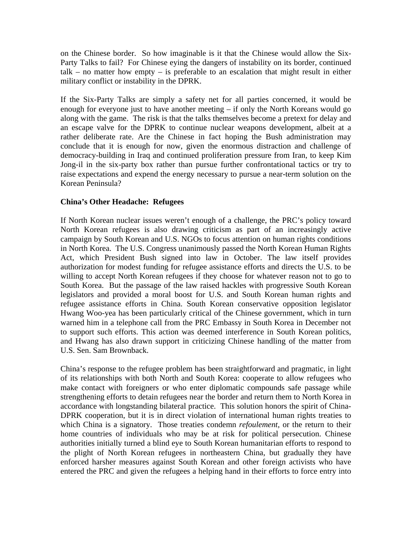on the Chinese border. So how imaginable is it that the Chinese would allow the Six-Party Talks to fail? For Chinese eying the dangers of instability on its border, continued talk – no matter how empty – is preferable to an escalation that might result in either military conflict or instability in the DPRK.

If the Six-Party Talks are simply a safety net for all parties concerned, it would be enough for everyone just to have another meeting – if only the North Koreans would go along with the game. The risk is that the talks themselves become a pretext for delay and an escape valve for the DPRK to continue nuclear weapons development, albeit at a rather deliberate rate. Are the Chinese in fact hoping the Bush administration may conclude that it is enough for now, given the enormous distraction and challenge of democracy-building in Iraq and continued proliferation pressure from Iran, to keep Kim Jong-il in the six-party box rather than pursue further confrontational tactics or try to raise expectations and expend the energy necessary to pursue a near-term solution on the Korean Peninsula?

### **China's Other Headache: Refugees**

If North Korean nuclear issues weren't enough of a challenge, the PRC's policy toward North Korean refugees is also drawing criticism as part of an increasingly active campaign by South Korean and U.S. NGOs to focus attention on human rights conditions in North Korea. The U.S. Congress unanimously passed the North Korean Human Rights Act, which President Bush signed into law in October. The law itself provides authorization for modest funding for refugee assistance efforts and directs the U.S. to be willing to accept North Korean refugees if they choose for whatever reason not to go to South Korea. But the passage of the law raised hackles with progressive South Korean legislators and provided a moral boost for U.S. and South Korean human rights and refugee assistance efforts in China. South Korean conservative opposition legislator Hwang Woo-yea has been particularly critical of the Chinese government, which in turn warned him in a telephone call from the PRC Embassy in South Korea in December not to support such efforts. This action was deemed interference in South Korean politics, and Hwang has also drawn support in criticizing Chinese handling of the matter from U.S. Sen. Sam Brownback.

China's response to the refugee problem has been straightforward and pragmatic, in light of its relationships with both North and South Korea: cooperate to allow refugees who make contact with foreigners or who enter diplomatic compounds safe passage while strengthening efforts to detain refugees near the border and return them to North Korea in accordance with longstanding bilateral practice. This solution honors the spirit of China-DPRK cooperation, but it is in direct violation of international human rights treaties to which China is a signatory. Those treaties condemn *refoulement*, or the return to their home countries of individuals who may be at risk for political persecution. Chinese authorities initially turned a blind eye to South Korean humanitarian efforts to respond to the plight of North Korean refugees in northeastern China, but gradually they have enforced harsher measures against South Korean and other foreign activists who have entered the PRC and given the refugees a helping hand in their efforts to force entry into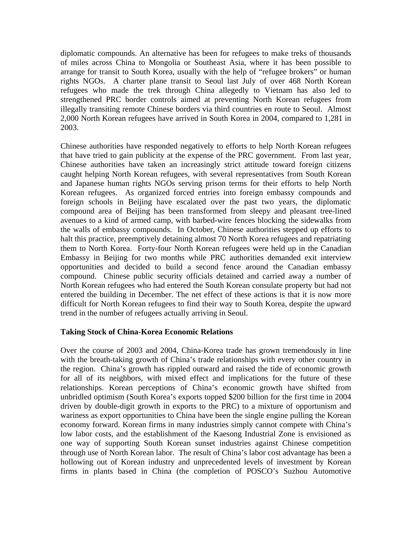diplomatic compounds. An alternative has been for refugees to make treks of thousands of miles across China to Mongolia or Southeast Asia, where it has been possible to arrange for transit to South Korea, usually with the help of "refugee brokers" or human rights NGOs. A charter plane transit to Seoul last July of over 468 North Korean refugees who made the trek through China allegedly to Vietnam has also led to strengthened PRC border controls aimed at preventing North Korean refugees from illegally transiting remote Chinese borders via third countries en route to Seoul. Almost 2,000 North Korean refugees have arrived in South Korea in 2004, compared to 1,281 in 2003.

Chinese authorities have responded negatively to efforts to help North Korean refugees that have tried to gain publicity at the expense of the PRC government. From last year, Chinese authorities have taken an increasingly strict attitude toward foreign citizens caught helping North Korean refugees, with several representatives from South Korean and Japanese human rights NGOs serving prison terms for their efforts to help North Korean refugees. As organized forced entries into foreign embassy compounds and foreign schools in Beijing have escalated over the past two years, the diplomatic compound area of Beijing has been transformed from sleepy and pleasant tree-lined avenues to a kind of armed camp, with barbed-wire fences blocking the sidewalks from the walls of embassy compounds. In October, Chinese authorities stepped up efforts to halt this practice, preemptively detaining almost 70 North Korea refugees and repatriating them to North Korea. Forty-four North Korean refugees were held up in the Canadian Embassy in Beijing for two months while PRC authorities demanded exit interview opportunities and decided to build a second fence around the Canadian embassy compound. Chinese public security officials detained and carried away a number of North Korean refugees who had entered the South Korean consulate property but had not entered the building in December. The net effect of these actions is that it is now more difficult for North Korean refugees to find their way to South Korea, despite the upward trend in the number of refugees actually arriving in Seoul.

#### **Taking Stock of China-Korea Economic Relations**

Over the course of 2003 and 2004, China-Korea trade has grown tremendously in line with the breath-taking growth of China's trade relationships with every other country in the region. China's growth has rippled outward and raised the tide of economic growth for all of its neighbors, with mixed effect and implications for the future of these relationships. Korean perceptions of China's economic growth have shifted from unbridled optimism (South Korea's exports topped \$200 billion for the first time in 2004 driven by double-digit growth in exports to the PRC) to a mixture of opportunism and wariness as export opportunities to China have been the single engine pulling the Korean economy forward. Korean firms in many industries simply cannot compete with China's low labor costs, and the establishment of the Kaesong Industrial Zone is envisioned as one way of supporting South Korean sunset industries against Chinese competition through use of North Korean labor. The result of China's labor cost advantage has been a hollowing out of Korean industry and unprecedented levels of investment by Korean firms in plants based in China (the completion of POSCO's Suzhou Automotive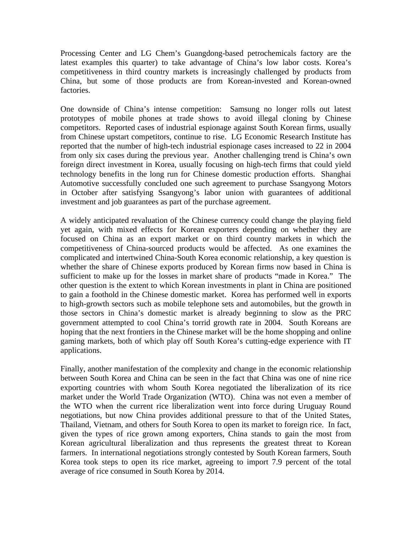Processing Center and LG Chem's Guangdong-based petrochemicals factory are the latest examples this quarter) to take advantage of China's low labor costs. Korea's competitiveness in third country markets is increasingly challenged by products from China, but some of those products are from Korean-invested and Korean-owned factories.

One downside of China's intense competition: Samsung no longer rolls out latest prototypes of mobile phones at trade shows to avoid illegal cloning by Chinese competitors. Reported cases of industrial espionage against South Korean firms, usually from Chinese upstart competitors, continue to rise. LG Economic Research Institute has reported that the number of high-tech industrial espionage cases increased to 22 in 2004 from only six cases during the previous year. Another challenging trend is China's own foreign direct investment in Korea, usually focusing on high-tech firms that could yield technology benefits in the long run for Chinese domestic production efforts. Shanghai Automotive successfully concluded one such agreement to purchase Ssangyong Motors in October after satisfying Ssangyong's labor union with guarantees of additional investment and job guarantees as part of the purchase agreement.

A widely anticipated revaluation of the Chinese currency could change the playing field yet again, with mixed effects for Korean exporters depending on whether they are focused on China as an export market or on third country markets in which the competitiveness of China-sourced products would be affected. As one examines the complicated and intertwined China-South Korea economic relationship, a key question is whether the share of Chinese exports produced by Korean firms now based in China is sufficient to make up for the losses in market share of products "made in Korea." The other question is the extent to which Korean investments in plant in China are positioned to gain a foothold in the Chinese domestic market. Korea has performed well in exports to high-growth sectors such as mobile telephone sets and automobiles, but the growth in those sectors in China's domestic market is already beginning to slow as the PRC government attempted to cool China's torrid growth rate in 2004. South Koreans are hoping that the next frontiers in the Chinese market will be the home shopping and online gaming markets, both of which play off South Korea's cutting-edge experience with IT applications.

Finally, another manifestation of the complexity and change in the economic relationship between South Korea and China can be seen in the fact that China was one of nine rice exporting countries with whom South Korea negotiated the liberalization of its rice market under the World Trade Organization (WTO). China was not even a member of the WTO when the current rice liberalization went into force during Uruguay Round negotiations, but now China provides additional pressure to that of the United States, Thailand, Vietnam, and others for South Korea to open its market to foreign rice. In fact, given the types of rice grown among exporters, China stands to gain the most from Korean agricultural liberalization and thus represents the greatest threat to Korean farmers. In international negotiations strongly contested by South Korean farmers, South Korea took steps to open its rice market, agreeing to import 7.9 percent of the total average of rice consumed in South Korea by 2014.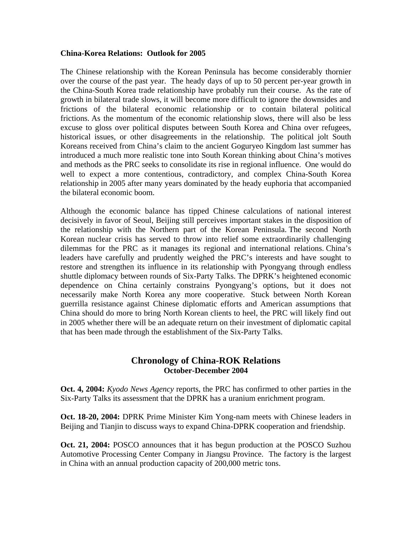#### **China-Korea Relations: Outlook for 2005**

The Chinese relationship with the Korean Peninsula has become considerably thornier over the course of the past year. The heady days of up to 50 percent per-year growth in the China-South Korea trade relationship have probably run their course. As the rate of growth in bilateral trade slows, it will become more difficult to ignore the downsides and frictions of the bilateral economic relationship or to contain bilateral political frictions. As the momentum of the economic relationship slows, there will also be less excuse to gloss over political disputes between South Korea and China over refugees, historical issues, or other disagreements in the relationship. The political jolt South Koreans received from China's claim to the ancient Goguryeo Kingdom last summer has introduced a much more realistic tone into South Korean thinking about China's motives and methods as the PRC seeks to consolidate its rise in regional influence. One would do well to expect a more contentious, contradictory, and complex China-South Korea relationship in 2005 after many years dominated by the heady euphoria that accompanied the bilateral economic boom.

Although the economic balance has tipped Chinese calculations of national interest decisively in favor of Seoul, Beijing still perceives important stakes in the disposition of the relationship with the Northern part of the Korean Peninsula. The second North Korean nuclear crisis has served to throw into relief some extraordinarily challenging dilemmas for the PRC as it manages its regional and international relations. China's leaders have carefully and prudently weighed the PRC's interests and have sought to restore and strengthen its influence in its relationship with Pyongyang through endless shuttle diplomacy between rounds of Six-Party Talks. The DPRK's heightened economic dependence on China certainly constrains Pyongyang's options, but it does not necessarily make North Korea any more cooperative. Stuck between North Korean guerrilla resistance against Chinese diplomatic efforts and American assumptions that China should do more to bring North Korean clients to heel, the PRC will likely find out in 2005 whether there will be an adequate return on their investment of diplomatic capital that has been made through the establishment of the Six-Party Talks.

## **Chronology of China-ROK Relations October-December 2004**

**Oct. 4, 2004:** *Kyodo News Agency* reports, the PRC has confirmed to other parties in the Six-Party Talks its assessment that the DPRK has a uranium enrichment program.

**Oct. 18-20, 2004:** DPRK Prime Minister Kim Yong-nam meets with Chinese leaders in Beijing and Tianjin to discuss ways to expand China-DPRK cooperation and friendship.

**Oct. 21, 2004:** POSCO announces that it has begun production at the POSCO Suzhou Automotive Processing Center Company in Jiangsu Province. The factory is the largest in China with an annual production capacity of 200,000 metric tons.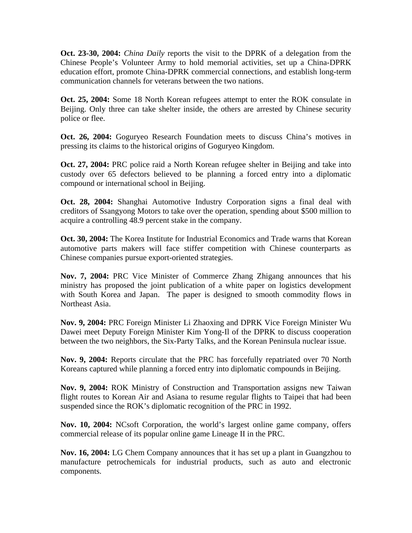**Oct. 23-30, 2004:** *China Daily* reports the visit to the DPRK of a delegation from the Chinese People's Volunteer Army to hold memorial activities, set up a China-DPRK education effort, promote China-DPRK commercial connections, and establish long-term communication channels for veterans between the two nations.

**Oct. 25, 2004:** Some 18 North Korean refugees attempt to enter the ROK consulate in Beijing. Only three can take shelter inside, the others are arrested by Chinese security police or flee.

**Oct. 26, 2004:** Goguryeo Research Foundation meets to discuss China's motives in pressing its claims to the historical origins of Goguryeo Kingdom.

**Oct. 27, 2004:** PRC police raid a North Korean refugee shelter in Beijing and take into custody over 65 defectors believed to be planning a forced entry into a diplomatic compound or international school in Beijing.

**Oct. 28, 2004:** Shanghai Automotive Industry Corporation signs a final deal with creditors of Ssangyong Motors to take over the operation, spending about \$500 million to acquire a controlling 48.9 percent stake in the company.

**Oct. 30, 2004:** The Korea Institute for Industrial Economics and Trade warns that Korean automotive parts makers will face stiffer competition with Chinese counterparts as Chinese companies pursue export-oriented strategies.

**Nov. 7, 2004:** PRC Vice Minister of Commerce Zhang Zhigang announces that his ministry has proposed the joint publication of a white paper on logistics development with South Korea and Japan. The paper is designed to smooth commodity flows in Northeast Asia.

**Nov. 9, 2004:** PRC Foreign Minister Li Zhaoxing and DPRK Vice Foreign Minister Wu Dawei meet Deputy Foreign Minister Kim Yong-Il of the DPRK to discuss cooperation between the two neighbors, the Six-Party Talks, and the Korean Peninsula nuclear issue.

**Nov. 9, 2004:** Reports circulate that the PRC has forcefully repatriated over 70 North Koreans captured while planning a forced entry into diplomatic compounds in Beijing.

**Nov. 9, 2004:** ROK Ministry of Construction and Transportation assigns new Taiwan flight routes to Korean Air and Asiana to resume regular flights to Taipei that had been suspended since the ROK's diplomatic recognition of the PRC in 1992.

**Nov. 10, 2004:** NCsoft Corporation, the world's largest online game company, offers commercial release of its popular online game Lineage II in the PRC.

**Nov. 16, 2004:** LG Chem Company announces that it has set up a plant in Guangzhou to manufacture petrochemicals for industrial products, such as auto and electronic components.